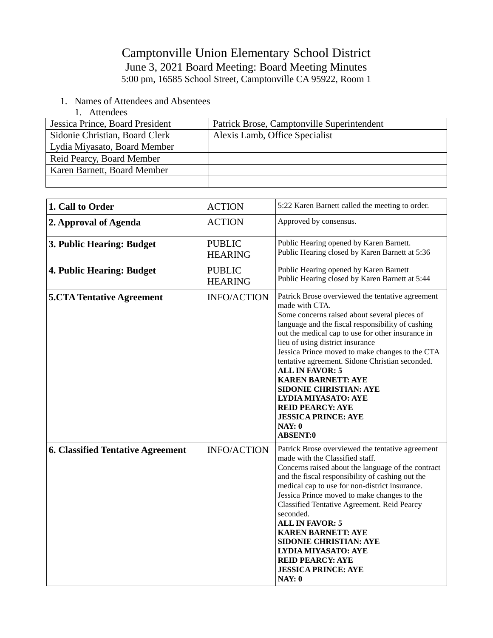## Camptonville Union Elementary School District June 3, 2021 Board Meeting: Board Meeting Minutes 5:00 pm, 16585 School Street, Camptonville CA 95922, Room 1

- 1. Names of Attendees and Absentees
	- 1. Attendees

| Jessica Prince, Board President | Patrick Brose, Camptonville Superintendent |
|---------------------------------|--------------------------------------------|
| Sidonie Christian, Board Clerk  | Alexis Lamb, Office Specialist             |
| Lydia Miyasato, Board Member    |                                            |
| Reid Pearcy, Board Member       |                                            |
| Karen Barnett, Board Member     |                                            |
|                                 |                                            |

| 1. Call to Order                         | <b>ACTION</b>                   | 5:22 Karen Barnett called the meeting to order.                                                                                                                                                                                                                                                                                                                                                                                                                                                                                                                                    |
|------------------------------------------|---------------------------------|------------------------------------------------------------------------------------------------------------------------------------------------------------------------------------------------------------------------------------------------------------------------------------------------------------------------------------------------------------------------------------------------------------------------------------------------------------------------------------------------------------------------------------------------------------------------------------|
| 2. Approval of Agenda                    | <b>ACTION</b>                   | Approved by consensus.                                                                                                                                                                                                                                                                                                                                                                                                                                                                                                                                                             |
| 3. Public Hearing: Budget                | <b>PUBLIC</b><br><b>HEARING</b> | Public Hearing opened by Karen Barnett.<br>Public Hearing closed by Karen Barnett at 5:36                                                                                                                                                                                                                                                                                                                                                                                                                                                                                          |
| 4. Public Hearing: Budget                | <b>PUBLIC</b><br><b>HEARING</b> | Public Hearing opened by Karen Barnett<br>Public Hearing closed by Karen Barnett at 5:44                                                                                                                                                                                                                                                                                                                                                                                                                                                                                           |
| <b>5.CTA Tentative Agreement</b>         | <b>INFO/ACTION</b>              | Patrick Brose overviewed the tentative agreement<br>made with CTA.<br>Some concerns raised about several pieces of<br>language and the fiscal responsibility of cashing<br>out the medical cap to use for other insurance in<br>lieu of using district insurance<br>Jessica Prince moved to make changes to the CTA<br>tentative agreement. Sidone Christian seconded.<br><b>ALL IN FAVOR: 5</b><br><b>KAREN BARNETT: AYE</b><br><b>SIDONIE CHRISTIAN: AYE</b><br><b>LYDIA MIYASATO: AYE</b><br><b>REID PEARCY: AYE</b><br><b>JESSICA PRINCE: AYE</b><br>NAY: 0<br><b>ABSENT:0</b> |
| <b>6. Classified Tentative Agreement</b> | <b>INFO/ACTION</b>              | Patrick Brose overviewed the tentative agreement<br>made with the Classified staff.<br>Concerns raised about the language of the contract<br>and the fiscal responsibility of cashing out the<br>medical cap to use for non-district insurance.<br>Jessica Prince moved to make changes to the<br>Classified Tentative Agreement. Reid Pearcy<br>seconded.<br><b>ALL IN FAVOR: 5</b><br><b>KAREN BARNETT: AYE</b><br><b>SIDONIE CHRISTIAN: AYE</b><br><b>LYDIA MIYASATO: AYE</b><br><b>REID PEARCY: AYE</b><br><b>JESSICA PRINCE: AYE</b><br><b>NAY: 0</b>                         |